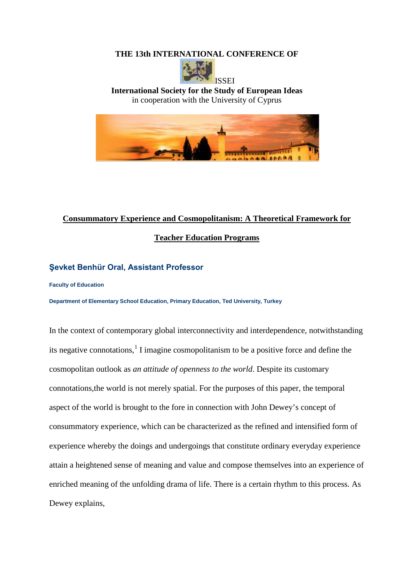## **THE 13th INTERNATIONAL CONFERENCE OF**



**International Society for the Study of European Ideas** in cooperation with the University of Cyprus



## **Consummatory Experience and Cosmopolitanism: A Theoretical Framework for**

**Teacher Education Programs**

## **Şevket Benhür Oral, Assistant Professor**

**Faculty of Education**

**Department of Elementary School Education, Primary Education, Ted University, Turkey**

In the context of contemporary global interconnectivity and interdependence, notwithstanding its negative connotations, [1](#page-8-0) I imagine cosmopolitanism to be a positive force and define the cosmopolitan outlook as *an attitude of openness to the world*. Despite its customary connotations,the world is not merely spatial. For the purposes of this paper, the temporal aspect of the world is brought to the fore in connection with John Dewey's concept of consummatory experience, which can be characterized as the refined and intensified form of experience whereby the doings and undergoings that constitute ordinary everyday experience attain a heightened sense of meaning and value and compose themselves into an experience of enriched meaning of the unfolding drama of life. There is a certain rhythm to this process. As Dewey explains,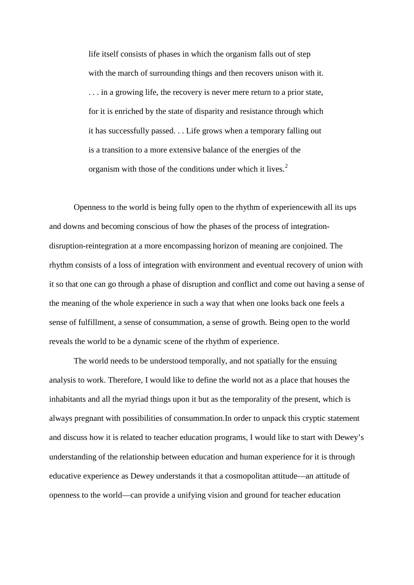life itself consists of phases in which the organism falls out of step with the march of surrounding things and then recovers unison with it. . . . in a growing life, the recovery is never mere return to a prior state, for it is enriched by the state of disparity and resistance through which it has successfully passed. . . Life grows when a temporary falling out is a transition to a more extensive balance of the energies of the organism with those of the conditions under which it lives.<sup>[2](#page-8-1)</sup>

Openness to the world is being fully open to the rhythm of experiencewith all its ups and downs and becoming conscious of how the phases of the process of integrationdisruption-reintegration at a more encompassing horizon of meaning are conjoined. The rhythm consists of a loss of integration with environment and eventual recovery of union with it so that one can go through a phase of disruption and conflict and come out having a sense of the meaning of the whole experience in such a way that when one looks back one feels a sense of fulfillment, a sense of consummation, a sense of growth. Being open to the world reveals the world to be a dynamic scene of the rhythm of experience.

The world needs to be understood temporally, and not spatially for the ensuing analysis to work. Therefore, I would like to define the world not as a place that houses the inhabitants and all the myriad things upon it but as the temporality of the present, which is always pregnant with possibilities of consummation.In order to unpack this cryptic statement and discuss how it is related to teacher education programs, I would like to start with Dewey's understanding of the relationship between education and human experience for it is through educative experience as Dewey understands it that a cosmopolitan attitude—an attitude of openness to the world—can provide a unifying vision and ground for teacher education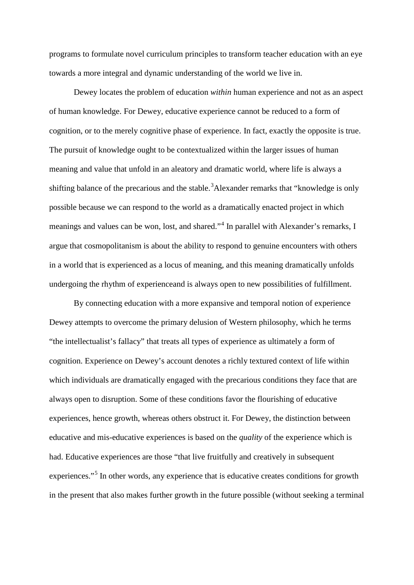programs to formulate novel curriculum principles to transform teacher education with an eye towards a more integral and dynamic understanding of the world we live in.

Dewey locates the problem of education *within* human experience and not as an aspect of human knowledge. For Dewey, educative experience cannot be reduced to a form of cognition, or to the merely cognitive phase of experience. In fact, exactly the opposite is true. The pursuit of knowledge ought to be contextualized within the larger issues of human meaning and value that unfold in an aleatory and dramatic world, where life is always a shifting balance of the precarious and the stable.<sup>[3](#page-8-2)</sup>Alexander remarks that "knowledge is only possible because we can respond to the world as a dramatically enacted project in which meanings and values can be won, lost, and shared."<sup>[4](#page-8-3)</sup> In parallel with Alexander's remarks, I argue that cosmopolitanism is about the ability to respond to genuine encounters with others in a world that is experienced as a locus of meaning, and this meaning dramatically unfolds undergoing the rhythm of experienceand is always open to new possibilities of fulfillment.

By connecting education with a more expansive and temporal notion of experience Dewey attempts to overcome the primary delusion of Western philosophy, which he terms "the intellectualist's fallacy" that treats all types of experience as ultimately a form of cognition. Experience on Dewey's account denotes a richly textured context of life within which individuals are dramatically engaged with the precarious conditions they face that are always open to disruption. Some of these conditions favor the flourishing of educative experiences, hence growth, whereas others obstruct it. For Dewey, the distinction between educative and mis-educative experiences is based on the *quality* of the experience which is had. Educative experiences are those "that live fruitfully and creatively in subsequent experiences."<sup>[5](#page-8-4)</sup> In other words, any experience that is educative creates conditions for growth in the present that also makes further growth in the future possible (without seeking a terminal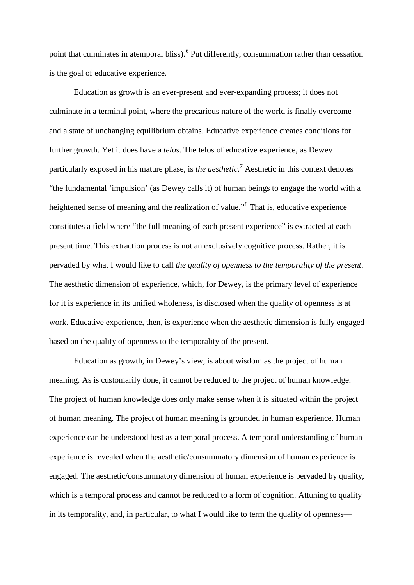point that culminates in atemporal bliss).<sup>[6](#page-8-5)</sup> Put differently, consummation rather than cessation is the goal of educative experience.

Education as growth is an ever-present and ever-expanding process; it does not culminate in a terminal point, where the precarious nature of the world is finally overcome and a state of unchanging equilibrium obtains. Educative experience creates conditions for further growth. Yet it does have a *telos*. The telos of educative experience, as Dewey particularly exposed in his mature phase, is *the aesthetic*. [7](#page-9-0) Aesthetic in this context denotes "the fundamental 'impulsion' (as Dewey calls it) of human beings to engage the world with a heightened sense of meaning and the realization of value."<sup>[8](#page-9-1)</sup> That is, educative experience constitutes a field where "the full meaning of each present experience" is extracted at each present time. This extraction process is not an exclusively cognitive process. Rather, it is pervaded by what I would like to call *the quality of openness to the temporality of the present*. The aesthetic dimension of experience, which, for Dewey, is the primary level of experience for it is experience in its unified wholeness, is disclosed when the quality of openness is at work. Educative experience, then, is experience when the aesthetic dimension is fully engaged based on the quality of openness to the temporality of the present.

Education as growth, in Dewey's view, is about wisdom as the project of human meaning. As is customarily done, it cannot be reduced to the project of human knowledge. The project of human knowledge does only make sense when it is situated within the project of human meaning. The project of human meaning is grounded in human experience. Human experience can be understood best as a temporal process. A temporal understanding of human experience is revealed when the aesthetic/consummatory dimension of human experience is engaged. The aesthetic/consummatory dimension of human experience is pervaded by quality, which is a temporal process and cannot be reduced to a form of cognition. Attuning to quality in its temporality, and, in particular, to what I would like to term the quality of openness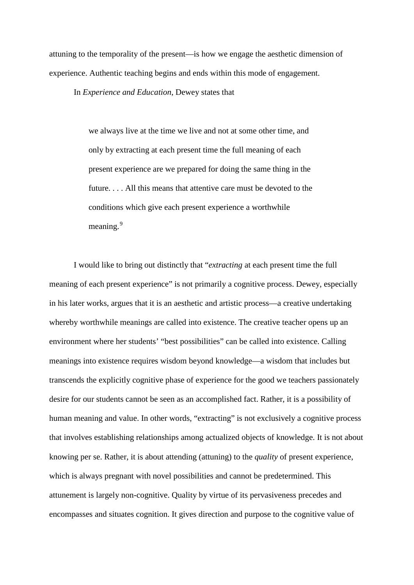attuning to the temporality of the present—is how we engage the aesthetic dimension of experience. Authentic teaching begins and ends within this mode of engagement.

In *Experience and Education*, Dewey states that

we always live at the time we live and not at some other time, and only by extracting at each present time the full meaning of each present experience are we prepared for doing the same thing in the future. . . . All this means that attentive care must be devoted to the conditions which give each present experience a worthwhile meaning.<sup>[9](#page-9-2)</sup>

I would like to bring out distinctly that "*extracting* at each present time the full meaning of each present experience" is not primarily a cognitive process. Dewey, especially in his later works, argues that it is an aesthetic and artistic process—a creative undertaking whereby worthwhile meanings are called into existence. The creative teacher opens up an environment where her students' "best possibilities" can be called into existence. Calling meanings into existence requires wisdom beyond knowledge—a wisdom that includes but transcends the explicitly cognitive phase of experience for the good we teachers passionately desire for our students cannot be seen as an accomplished fact. Rather, it is a possibility of human meaning and value. In other words, "extracting" is not exclusively a cognitive process that involves establishing relationships among actualized objects of knowledge. It is not about knowing per se. Rather, it is about attending (attuning) to the *quality* of present experience, which is always pregnant with novel possibilities and cannot be predetermined. This attunement is largely non-cognitive. Quality by virtue of its pervasiveness precedes and encompasses and situates cognition. It gives direction and purpose to the cognitive value of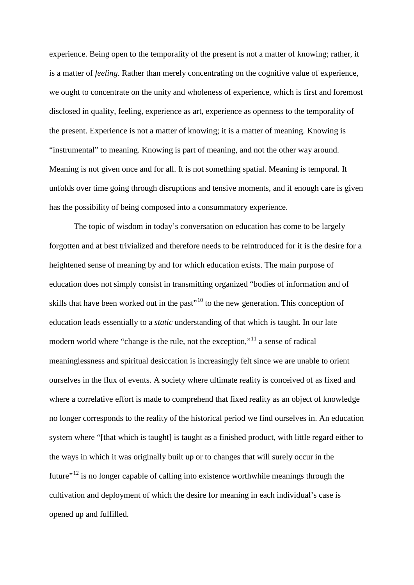experience. Being open to the temporality of the present is not a matter of knowing; rather, it is a matter of *feeling*. Rather than merely concentrating on the cognitive value of experience, we ought to concentrate on the unity and wholeness of experience, which is first and foremost disclosed in quality, feeling, experience as art, experience as openness to the temporality of the present. Experience is not a matter of knowing; it is a matter of meaning. Knowing is "instrumental" to meaning. Knowing is part of meaning, and not the other way around. Meaning is not given once and for all. It is not something spatial. Meaning is temporal. It unfolds over time going through disruptions and tensive moments, and if enough care is given has the possibility of being composed into a consummatory experience.

The topic of wisdom in today's conversation on education has come to be largely forgotten and at best trivialized and therefore needs to be reintroduced for it is the desire for a heightened sense of meaning by and for which education exists. The main purpose of education does not simply consist in transmitting organized "bodies of information and of skills that have been worked out in the past<sup> $10$ </sup> to the new generation. This conception of education leads essentially to a *static* understanding of that which is taught. In our late modern world where "change is the rule, not the exception,"<sup>[11](#page-9-4)</sup> a sense of radical meaninglessness and spiritual desiccation is increasingly felt since we are unable to orient ourselves in the flux of events. A society where ultimate reality is conceived of as fixed and where a correlative effort is made to comprehend that fixed reality as an object of knowledge no longer corresponds to the reality of the historical period we find ourselves in. An education system where "[that which is taught] is taught as a finished product, with little regard either to the ways in which it was originally built up or to changes that will surely occur in the future $"^{12}$  $"^{12}$  $"^{12}$  is no longer capable of calling into existence worthwhile meanings through the cultivation and deployment of which the desire for meaning in each individual's case is opened up and fulfilled.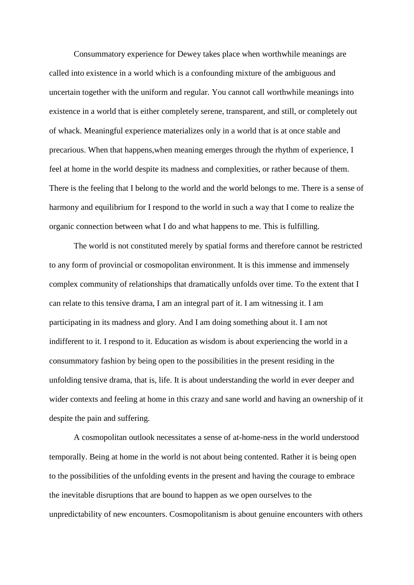Consummatory experience for Dewey takes place when worthwhile meanings are called into existence in a world which is a confounding mixture of the ambiguous and uncertain together with the uniform and regular. You cannot call worthwhile meanings into existence in a world that is either completely serene, transparent, and still, or completely out of whack. Meaningful experience materializes only in a world that is at once stable and precarious. When that happens,when meaning emerges through the rhythm of experience, I feel at home in the world despite its madness and complexities, or rather because of them. There is the feeling that I belong to the world and the world belongs to me. There is a sense of harmony and equilibrium for I respond to the world in such a way that I come to realize the organic connection between what I do and what happens to me. This is fulfilling.

The world is not constituted merely by spatial forms and therefore cannot be restricted to any form of provincial or cosmopolitan environment. It is this immense and immensely complex community of relationships that dramatically unfolds over time. To the extent that I can relate to this tensive drama, I am an integral part of it. I am witnessing it. I am participating in its madness and glory. And I am doing something about it. I am not indifferent to it. I respond to it. Education as wisdom is about experiencing the world in a consummatory fashion by being open to the possibilities in the present residing in the unfolding tensive drama, that is, life. It is about understanding the world in ever deeper and wider contexts and feeling at home in this crazy and sane world and having an ownership of it despite the pain and suffering.

A cosmopolitan outlook necessitates a sense of at-home-ness in the world understood temporally. Being at home in the world is not about being contented. Rather it is being open to the possibilities of the unfolding events in the present and having the courage to embrace the inevitable disruptions that are bound to happen as we open ourselves to the unpredictability of new encounters. Cosmopolitanism is about genuine encounters with others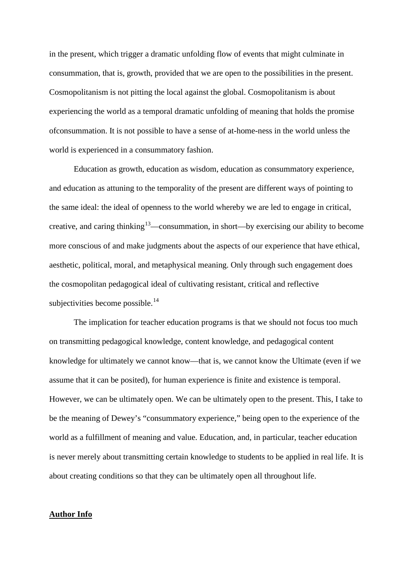in the present, which trigger a dramatic unfolding flow of events that might culminate in consummation, that is, growth, provided that we are open to the possibilities in the present. Cosmopolitanism is not pitting the local against the global. Cosmopolitanism is about experiencing the world as a temporal dramatic unfolding of meaning that holds the promise ofconsummation. It is not possible to have a sense of at-home-ness in the world unless the world is experienced in a consummatory fashion.

Education as growth, education as wisdom, education as consummatory experience, and education as attuning to the temporality of the present are different ways of pointing to the same ideal: the ideal of openness to the world whereby we are led to engage in critical, creative, and caring thinking<sup>13</sup>—consummation, in short—by exercising our ability to become more conscious of and make judgments about the aspects of our experience that have ethical, aesthetic, political, moral, and metaphysical meaning. Only through such engagement does the cosmopolitan pedagogical ideal of cultivating resistant, critical and reflective subjectivities become possible.<sup>[14](#page-9-7)</sup>

The implication for teacher education programs is that we should not focus too much on transmitting pedagogical knowledge, content knowledge, and pedagogical content knowledge for ultimately we cannot know—that is, we cannot know the Ultimate (even if we assume that it can be posited), for human experience is finite and existence is temporal. However, we can be ultimately open. We can be ultimately open to the present. This, I take to be the meaning of Dewey's "consummatory experience," being open to the experience of the world as a fulfillment of meaning and value. Education, and, in particular, teacher education is never merely about transmitting certain knowledge to students to be applied in real life. It is about creating conditions so that they can be ultimately open all throughout life.

## **Author Info**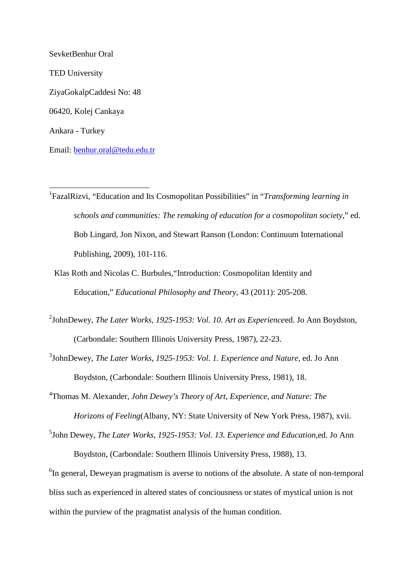SevketBenhur Oral TED University ZiyaGokalpCaddesi No: 48 06420, Kolej Cankaya Ankara - Turkey Email: [benhur.oral@tedu.edu.tr](mailto:benhur.oral@tedu.edu.tr)

- <span id="page-8-0"></span> 1 FazalRizvi, "Education and Its Cosmopolitan Possibilities" in "*Transforming learning in schools and communities: The remaking of education for a cosmopolitan society*," ed. Bob Lingard, Jon Nixon, and Stewart Ranson (London: Continuum International Publishing, 2009), 101-116.
	- Klas Roth and Nicolas C. Burbules,"Introduction: Cosmopolitan Identity and Education," *Educational Philosophy and Theory*, 43 (2011): 205-208.
- <span id="page-8-1"></span>2 JohnDewey, *The Later Works, 1925-1953: Vol. 10. Art as Experience*ed. Jo Ann Boydston, (Carbondale: Southern Illinois University Press, 1987), 22-23.

<span id="page-8-2"></span>3 JohnDewey, *The Later Works, 1925-1953: Vol. 1. Experience and Nature*, ed. Jo Ann Boydston, (Carbondale: Southern Illinois University Press, 1981), 18.

- <span id="page-8-3"></span>4 Thomas M. Alexander, *John Dewey's Theory of Art, Experience, and Nature: The Horizons of Feeling*(Albany, NY: State University of New York Press, 1987), xvii.
- <span id="page-8-4"></span><sup>5</sup>John Dewey, *The Later Works, 1925-1953: Vol. 13. Experience and Education*,ed. Jo Ann Boydston, (Carbondale: Southern Illinois University Press, 1988), 13.

<span id="page-8-5"></span> ${}^{6}$ In general, Deweyan pragmatism is averse to notions of the absolute. A state of non-temporal bliss such as experienced in altered states of conciousness or states of mystical union is not within the purview of the pragmatist analysis of the human condition.